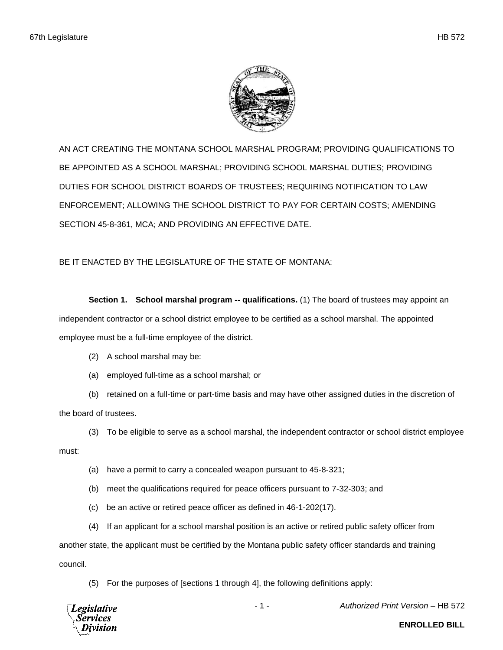

AN ACT CREATING THE MONTANA SCHOOL MARSHAL PROGRAM; PROVIDING QUALIFICATIONS TO BE APPOINTED AS A SCHOOL MARSHAL; PROVIDING SCHOOL MARSHAL DUTIES; PROVIDING DUTIES FOR SCHOOL DISTRICT BOARDS OF TRUSTEES; REQUIRING NOTIFICATION TO LAW ENFORCEMENT; ALLOWING THE SCHOOL DISTRICT TO PAY FOR CERTAIN COSTS; AMENDING SECTION 45-8-361, MCA; AND PROVIDING AN EFFECTIVE DATE.

BE IT ENACTED BY THE LEGISLATURE OF THE STATE OF MONTANA:

**Section 1. School marshal program -- qualifications.** (1) The board of trustees may appoint an independent contractor or a school district employee to be certified as a school marshal. The appointed employee must be a full-time employee of the district.

- (2) A school marshal may be:
- (a) employed full-time as a school marshal; or

(b) retained on a full-time or part-time basis and may have other assigned duties in the discretion of the board of trustees.

(3) To be eligible to serve as a school marshal, the independent contractor or school district employee must:

- (a) have a permit to carry a concealed weapon pursuant to 45-8-321;
- (b) meet the qualifications required for peace officers pursuant to 7-32-303; and
- (c) be an active or retired peace officer as defined in 46-1-202(17).
- (4) If an applicant for a school marshal position is an active or retired public safety officer from

another state, the applicant must be certified by the Montana public safety officer standards and training council.

(5) For the purposes of [sections 1 through 4], the following definitions apply:



- 1 - *Authorized Print Version* – HB 572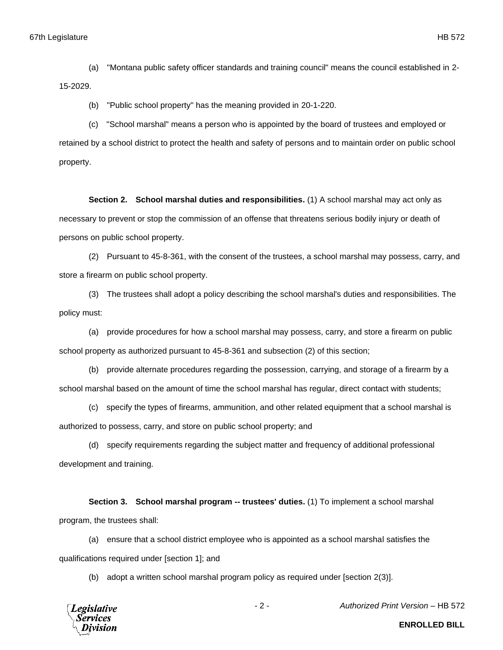(a) "Montana public safety officer standards and training council" means the council established in 2- 15-2029.

(b) "Public school property" has the meaning provided in 20-1-220.

(c) "School marshal" means a person who is appointed by the board of trustees and employed or retained by a school district to protect the health and safety of persons and to maintain order on public school property.

**Section 2. School marshal duties and responsibilities.** (1) A school marshal may act only as necessary to prevent or stop the commission of an offense that threatens serious bodily injury or death of persons on public school property.

(2) Pursuant to 45-8-361, with the consent of the trustees, a school marshal may possess, carry, and store a firearm on public school property.

(3) The trustees shall adopt a policy describing the school marshal's duties and responsibilities. The policy must:

(a) provide procedures for how a school marshal may possess, carry, and store a firearm on public school property as authorized pursuant to 45-8-361 and subsection (2) of this section;

(b) provide alternate procedures regarding the possession, carrying, and storage of a firearm by a school marshal based on the amount of time the school marshal has regular, direct contact with students;

(c) specify the types of firearms, ammunition, and other related equipment that a school marshal is authorized to possess, carry, and store on public school property; and

(d) specify requirements regarding the subject matter and frequency of additional professional development and training.

**Section 3. School marshal program -- trustees' duties.** (1) To implement a school marshal program, the trustees shall:

(a) ensure that a school district employee who is appointed as a school marshal satisfies the qualifications required under [section 1]; and

(b) adopt a written school marshal program policy as required under [section 2(3)].



- 2 - *Authorized Print Version* – HB 572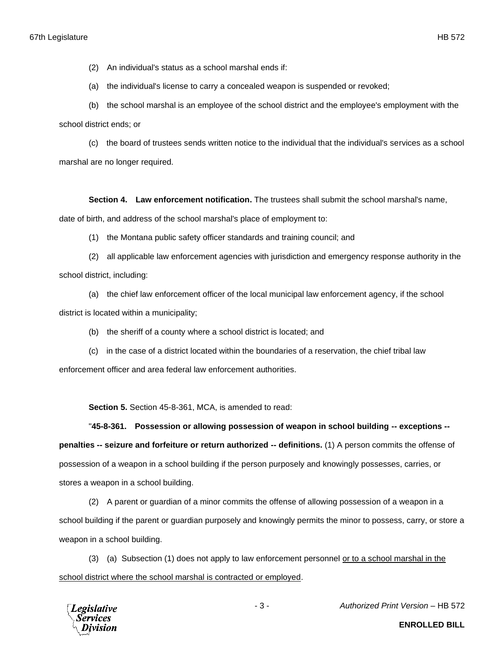(2) An individual's status as a school marshal ends if:

(a) the individual's license to carry a concealed weapon is suspended or revoked;

(b) the school marshal is an employee of the school district and the employee's employment with the school district ends; or

(c) the board of trustees sends written notice to the individual that the individual's services as a school marshal are no longer required.

**Section 4. Law enforcement notification.** The trustees shall submit the school marshal's name,

date of birth, and address of the school marshal's place of employment to:

(1) the Montana public safety officer standards and training council; and

(2) all applicable law enforcement agencies with jurisdiction and emergency response authority in the school district, including:

(a) the chief law enforcement officer of the local municipal law enforcement agency, if the school district is located within a municipality;

- (b) the sheriff of a county where a school district is located; and
- (c) in the case of a district located within the boundaries of a reservation, the chief tribal law

enforcement officer and area federal law enforcement authorities.

**Section 5.** Section 45-8-361, MCA, is amended to read:

"**45-8-361. Possession or allowing possession of weapon in school building -- exceptions - penalties -- seizure and forfeiture or return authorized -- definitions.** (1) A person commits the offense of possession of a weapon in a school building if the person purposely and knowingly possesses, carries, or stores a weapon in a school building.

(2) A parent or guardian of a minor commits the offense of allowing possession of a weapon in a school building if the parent or guardian purposely and knowingly permits the minor to possess, carry, or store a weapon in a school building.

(3) (a) Subsection (1) does not apply to law enforcement personnel or to a school marshal in the school district where the school marshal is contracted or employed.



- 3 - *Authorized Print Version* – HB 572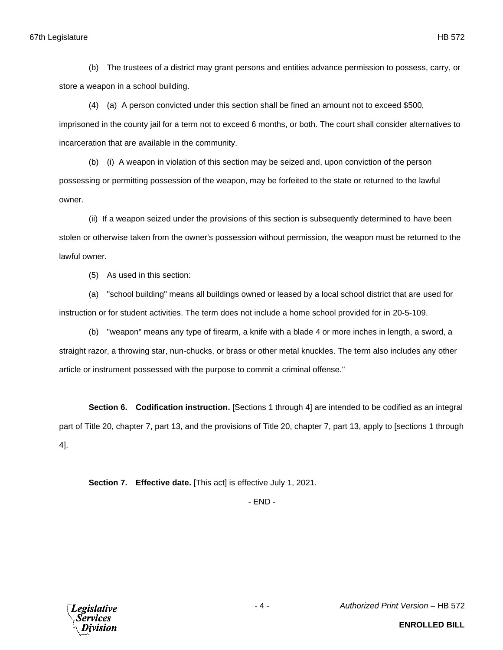(b) The trustees of a district may grant persons and entities advance permission to possess, carry, or store a weapon in a school building.

(4) (a) A person convicted under this section shall be fined an amount not to exceed \$500, imprisoned in the county jail for a term not to exceed 6 months, or both. The court shall consider alternatives to incarceration that are available in the community.

(b) (i) A weapon in violation of this section may be seized and, upon conviction of the person possessing or permitting possession of the weapon, may be forfeited to the state or returned to the lawful owner.

(ii) If a weapon seized under the provisions of this section is subsequently determined to have been stolen or otherwise taken from the owner's possession without permission, the weapon must be returned to the lawful owner.

(5) As used in this section:

(a) "school building" means all buildings owned or leased by a local school district that are used for instruction or for student activities. The term does not include a home school provided for in 20-5-109.

(b) "weapon" means any type of firearm, a knife with a blade 4 or more inches in length, a sword, a straight razor, a throwing star, nun-chucks, or brass or other metal knuckles. The term also includes any other article or instrument possessed with the purpose to commit a criminal offense."

**Section 6. Codification instruction.** [Sections 1 through 4] are intended to be codified as an integral part of Title 20, chapter 7, part 13, and the provisions of Title 20, chapter 7, part 13, apply to [sections 1 through 4].

**Section 7. Effective date.** [This act] is effective July 1, 2021.

- END -



- 4 - *Authorized Print Version* – HB 572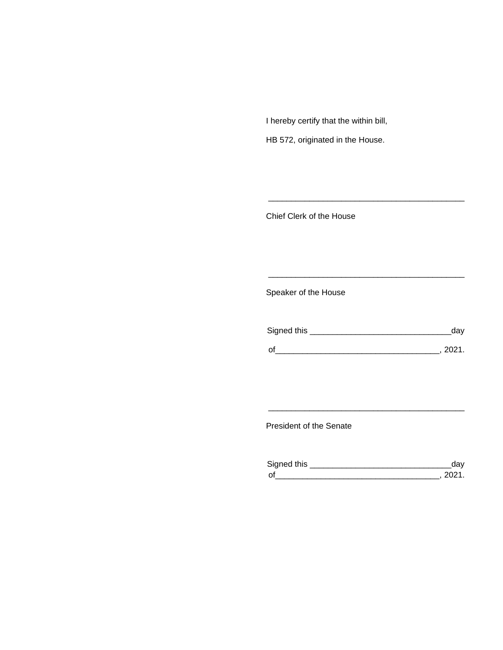I hereby certify that the within bill,

HB 572, originated in the House.

Chief Clerk of the House

Speaker of the House

| Signed this | dav    |
|-------------|--------|
| $\Omega'$   | -2021. |

\_\_\_\_\_\_\_\_\_\_\_\_\_\_\_\_\_\_\_\_\_\_\_\_\_\_\_\_\_\_\_\_\_\_\_\_\_\_\_\_\_\_\_

\_\_\_\_\_\_\_\_\_\_\_\_\_\_\_\_\_\_\_\_\_\_\_\_\_\_\_\_\_\_\_\_\_\_\_\_\_\_\_\_\_\_\_

President of the Senate

| Sianed this |  |
|-------------|--|
| $\Omega$    |  |

\_\_\_\_\_\_\_\_\_\_\_\_\_\_\_\_\_\_\_\_\_\_\_\_\_\_\_\_\_\_\_\_\_\_\_\_\_\_\_\_\_\_\_